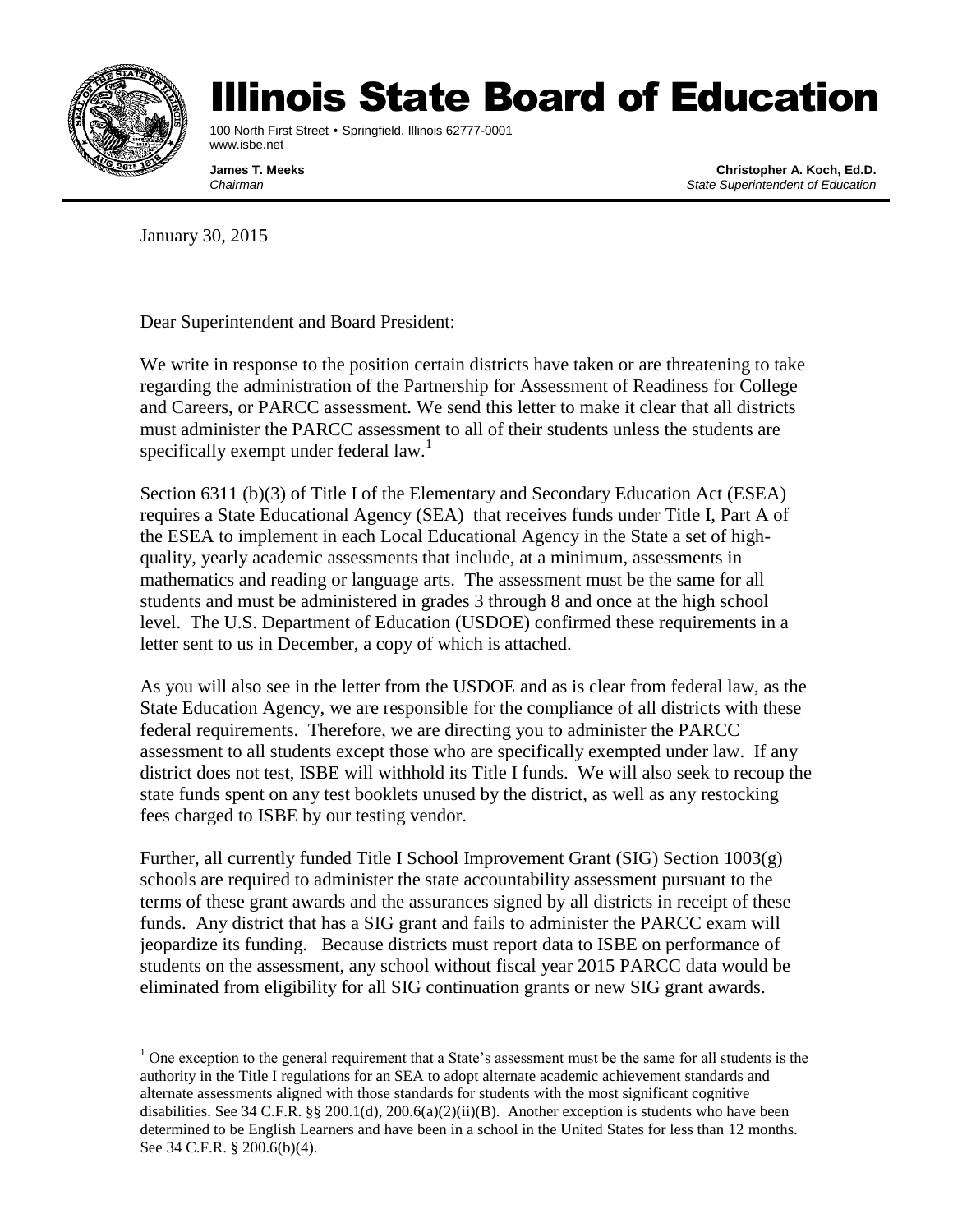

## Illinois State Board of Education

100 North First Street • Springfield, Illinois 62777-0001 www.isbe.net

**James T. Meeks Christopher A. Koch, Ed.D.** *Chairman State Superintendent of Education*

January 30, 2015

Dear Superintendent and Board President:

We write in response to the position certain districts have taken or are threatening to take regarding the administration of the Partnership for Assessment of Readiness for College and Careers, or PARCC assessment. We send this letter to make it clear that all districts must administer the PARCC assessment to all of their students unless the students are specifically exempt under federal law.<sup>1</sup>

Section 6311 (b)(3) of Title I of the Elementary and Secondary Education Act (ESEA) requires a State Educational Agency (SEA) that receives funds under Title I, Part A of the ESEA to implement in each Local Educational Agency in the State a set of highquality, yearly academic assessments that include, at a minimum, assessments in mathematics and reading or language arts. The assessment must be the same for all students and must be administered in grades 3 through 8 and once at the high school level. The U.S. Department of Education (USDOE) confirmed these requirements in a letter sent to us in December, a copy of which is attached.

As you will also see in the letter from the USDOE and as is clear from federal law, as the State Education Agency, we are responsible for the compliance of all districts with these federal requirements. Therefore, we are directing you to administer the PARCC assessment to all students except those who are specifically exempted under law. If any district does not test, ISBE will withhold its Title I funds. We will also seek to recoup the state funds spent on any test booklets unused by the district, as well as any restocking fees charged to ISBE by our testing vendor.

Further, all currently funded Title I School Improvement Grant (SIG) Section 1003(g) schools are required to administer the state accountability assessment pursuant to the terms of these grant awards and the assurances signed by all districts in receipt of these funds. Any district that has a SIG grant and fails to administer the PARCC exam will jeopardize its funding. Because districts must report data to ISBE on performance of students on the assessment, any school without fiscal year 2015 PARCC data would be eliminated from eligibility for all SIG continuation grants or new SIG grant awards.

 <sup>1</sup> One exception to the general requirement that a State's assessment must be the same for all students is the authority in the Title I regulations for an SEA to adopt alternate academic achievement standards and alternate assessments aligned with those standards for students with the most significant cognitive disabilities. See 34 C.F.R. §§ 200.1(d), 200.6(a)(2)(ii)(B). Another exception is students who have been determined to be English Learners and have been in a school in the United States for less than 12 months. See 34 C.F.R. § 200.6(b)(4).